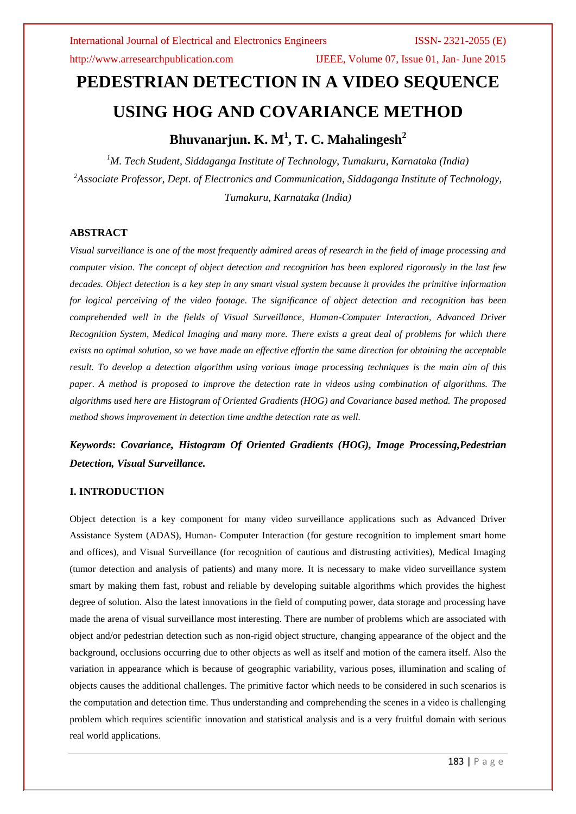http://www.arresearchpublication.com IJEEE, Volume 07, Issue 01, Jan- June 2015

# **PEDESTRIAN DETECTION IN A VIDEO SEQUENCE USING HOG AND COVARIANCE METHOD**

# **Bhuvanarjun. K. M<sup>1</sup> , T. C. Mahalingesh<sup>2</sup>**

*<sup>1</sup>M. Tech Student, Siddaganga Institute of Technology, Tumakuru, Karnataka (India) <sup>2</sup>Associate Professor, Dept. of Electronics and Communication, Siddaganga Institute of Technology, Tumakuru, Karnataka (India)*

### **ABSTRACT**

*Visual surveillance is one of the most frequently admired areas of research in the field of image processing and computer vision. The concept of object detection and recognition has been explored rigorously in the last few decades. Object detection is a key step in any smart visual system because it provides the primitive information for logical perceiving of the video footage. The significance of object detection and recognition has been comprehended well in the fields of Visual Surveillance, Human-Computer Interaction, Advanced Driver Recognition System, Medical Imaging and many more. There exists a great deal of problems for which there exists no optimal solution, so we have made an effective effortin the same direction for obtaining the acceptable result. To develop a detection algorithm using various image processing techniques is the main aim of this paper. A method is proposed to improve the detection rate in videos using combination of algorithms. The algorithms used here are Histogram of Oriented Gradients (HOG) and Covariance based method. The proposed method shows improvement in detection time andthe detection rate as well.*

# *Keywords***:** *Covariance, Histogram Of Oriented Gradients (HOG), Image Processing,Pedestrian Detection, Visual Surveillance.*

### **I. INTRODUCTION**

Object detection is a key component for many video surveillance applications such as Advanced Driver Assistance System (ADAS), Human- Computer Interaction (for gesture recognition to implement smart home and offices), and Visual Surveillance (for recognition of cautious and distrusting activities), Medical Imaging (tumor detection and analysis of patients) and many more. It is necessary to make video surveillance system smart by making them fast, robust and reliable by developing suitable algorithms which provides the highest degree of solution. Also the latest innovations in the field of computing power, data storage and processing have made the arena of visual surveillance most interesting. There are number of problems which are associated with object and/or pedestrian detection such as non-rigid object structure, changing appearance of the object and the background, occlusions occurring due to other objects as well as itself and motion of the camera itself. Also the variation in appearance which is because of geographic variability, various poses, illumination and scaling of objects causes the additional challenges. The primitive factor which needs to be considered in such scenarios is the computation and detection time. Thus understanding and comprehending the scenes in a video is challenging problem which requires scientific innovation and statistical analysis and is a very fruitful domain with serious real world applications.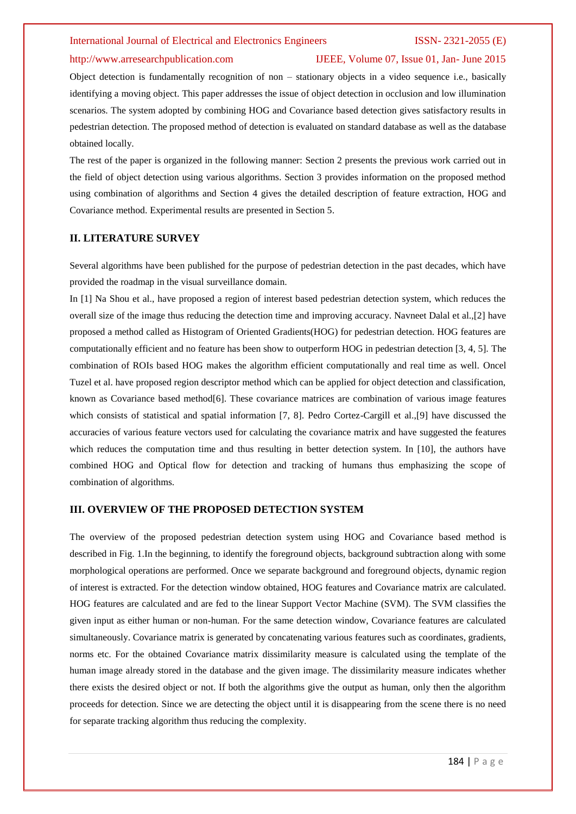#### http://www.arresearchpublication.com IJEEE, Volume 07, Issue 01, Jan- June 2015

Object detection is fundamentally recognition of non – stationary objects in a video sequence i.e., basically identifying a moving object. This paper addresses the issue of object detection in occlusion and low illumination scenarios. The system adopted by combining HOG and Covariance based detection gives satisfactory results in pedestrian detection. The proposed method of detection is evaluated on standard database as well as the database obtained locally.

The rest of the paper is organized in the following manner: Section 2 presents the previous work carried out in the field of object detection using various algorithms. Section 3 provides information on the proposed method using combination of algorithms and Section 4 gives the detailed description of feature extraction, HOG and Covariance method. Experimental results are presented in Section 5.

### **II. LITERATURE SURVEY**

Several algorithms have been published for the purpose of pedestrian detection in the past decades, which have provided the roadmap in the visual surveillance domain.

In [1] Na Shou et al., have proposed a region of interest based pedestrian detection system, which reduces the overall size of the image thus reducing the detection time and improving accuracy. Navneet Dalal et al.,[2] have proposed a method called as Histogram of Oriented Gradients(HOG) for pedestrian detection. HOG features are computationally efficient and no feature has been show to outperform HOG in pedestrian detection [3, 4, 5]. The combination of ROIs based HOG makes the algorithm efficient computationally and real time as well. Oncel Tuzel et al. have proposed region descriptor method which can be applied for object detection and classification, known as Covariance based method[6]. These covariance matrices are combination of various image features which consists of statistical and spatial information [7, 8]. Pedro Cortez-Cargill et al.,[9] have discussed the accuracies of various feature vectors used for calculating the covariance matrix and have suggested the features which reduces the computation time and thus resulting in better detection system. In [10], the authors have combined HOG and Optical flow for detection and tracking of humans thus emphasizing the scope of combination of algorithms.

#### **III. OVERVIEW OF THE PROPOSED DETECTION SYSTEM**

The overview of the proposed pedestrian detection system using HOG and Covariance based method is described in Fig. 1.In the beginning, to identify the foreground objects, background subtraction along with some morphological operations are performed. Once we separate background and foreground objects, dynamic region of interest is extracted. For the detection window obtained, HOG features and Covariance matrix are calculated. HOG features are calculated and are fed to the linear Support Vector Machine (SVM). The SVM classifies the given input as either human or non-human. For the same detection window, Covariance features are calculated simultaneously. Covariance matrix is generated by concatenating various features such as coordinates, gradients, norms etc. For the obtained Covariance matrix dissimilarity measure is calculated using the template of the human image already stored in the database and the given image. The dissimilarity measure indicates whether there exists the desired object or not. If both the algorithms give the output as human, only then the algorithm proceeds for detection. Since we are detecting the object until it is disappearing from the scene there is no need for separate tracking algorithm thus reducing the complexity.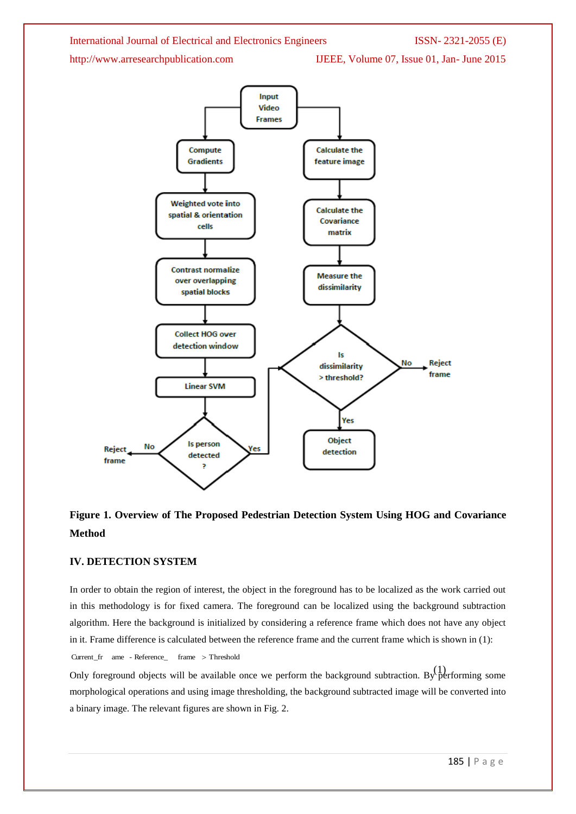http://www.arresearchpublication.com IJEEE, Volume 07, Issue 01, Jan- June 2015



## **Figure 1. Overview of The Proposed Pedestrian Detection System Using HOG and Covariance Method**

### **IV. DETECTION SYSTEM**

Current\_fr ame - Reference\_ frame Threshold

In order to obtain the region of interest, the object in the foreground has to be localized as the work carried out in this methodology is for fixed camera. The foreground can be localized using the background subtraction algorithm. Here the background is initialized by considering a reference frame which does not have any object in it. Frame difference is calculated between the reference frame and the current frame which is shown in (1):

Only foreground objects will be available once we perform the background subtraction. By performing some morphological operations and using image thresholding, the background subtracted image will be converted into a binary image. The relevant figures are shown in Fig. 2.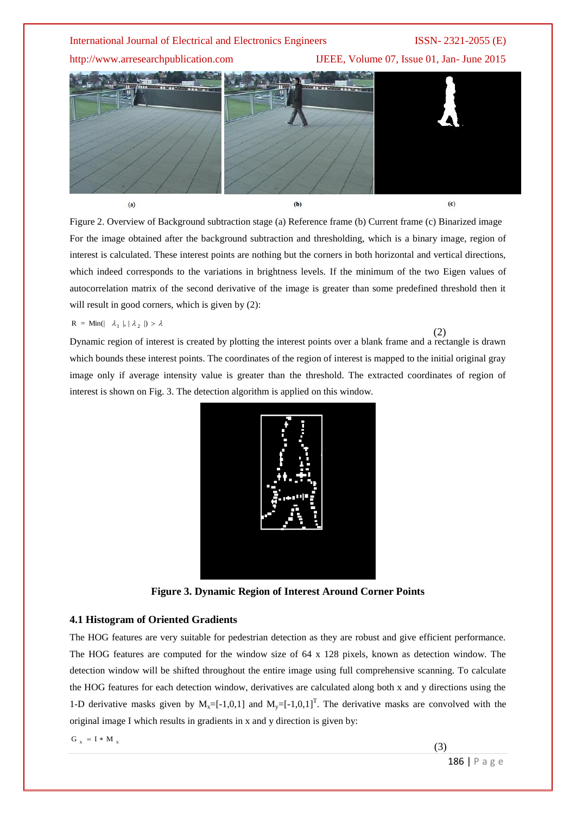http://www.arresearchpublication.com IJEEE, Volume 07, Issue 01, Jan- June 2015



Figure 2. Overview of Background subtraction stage (a) Reference frame (b) Current frame (c) Binarized image For the image obtained after the background subtraction and thresholding, which is a binary image, region of interest is calculated. These interest points are nothing but the corners in both horizontal and vertical directions, which indeed corresponds to the variations in brightness levels. If the minimum of the two Eigen values of autocorrelation matrix of the second derivative of the image is greater than some predefined threshold then it will result in good corners, which is given by  $(2)$ :

 $R = Min(| \lambda_1 |, | \lambda_2 |) > \lambda$ 

Dynamic region of interest is created by plotting the interest points over a blank frame and a rectangle is drawn which bounds these interest points. The coordinates of the region of interest is mapped to the initial original gray image only if average intensity value is greater than the threshold. The extracted coordinates of region of interest is shown on Fig. 3. The detection algorithm is applied on this window. (2)



**Figure 3. Dynamic Region of Interest Around Corner Points**

#### **4.1 Histogram of Oriented Gradients**

The HOG features are very suitable for pedestrian detection as they are robust and give efficient performance. The HOG features are computed for the window size of 64 x 128 pixels, known as detection window. The detection window will be shifted throughout the entire image using full comprehensive scanning. To calculate the HOG features for each detection window, derivatives are calculated along both x and y directions using the 1-D derivative masks given by  $M_x=[-1,0,1]$  and  $M_y=[-1,0,1]^T$ . The derivative masks are convolved with the original image I which results in gradients in x and y direction is given by:

 $G_x = I * M_x$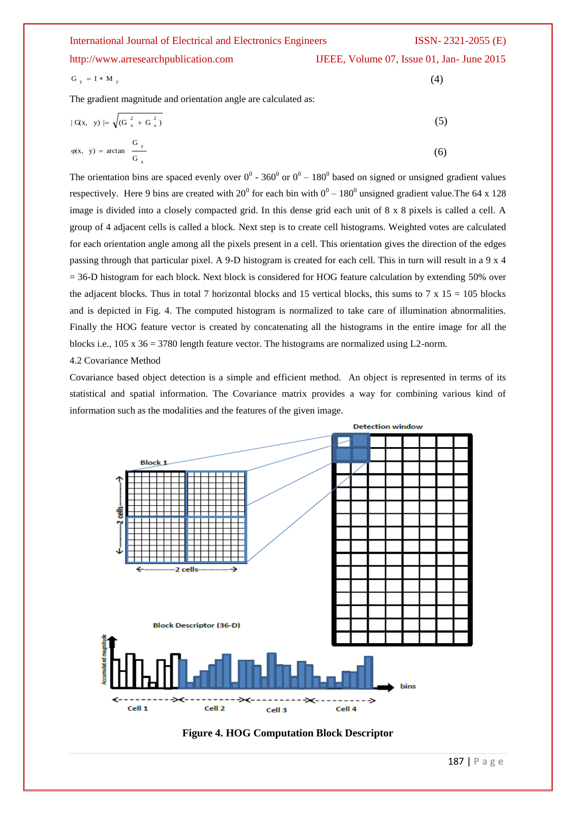| <b>International Journal of Electrical and Electronics Engineers</b> | $ISSN-2321-2055$ (E)                      |
|----------------------------------------------------------------------|-------------------------------------------|
| http://www.arresearchpublication.com                                 | IJEEE, Volume 07, Issue 01, Jan-June 2015 |
| $G_v = I * M_v$                                                      | (4)                                       |
| The gradient magnitude and orientation angle are calculated as:      |                                           |
| $ G(x, y)  = \sqrt{(G_x^2 + G_x^2)}$                                 | (5)                                       |

$$
\varphi(x, y) = \arctan \frac{G_y}{G_x} \tag{6}
$$

The orientation bins are spaced evenly over  $0^0$  - 360<sup>0</sup> or  $0^0$  – 180<sup>0</sup> based on signed or unsigned gradient values respectively. Here 9 bins are created with  $20^{\circ}$  for each bin with  $0^{\circ}$  – 180<sup>°</sup> unsigned gradient value. The 64 x 128 image is divided into a closely compacted grid. In this dense grid each unit of 8 x 8 pixels is called a cell. A group of 4 adjacent cells is called a block. Next step is to create cell histograms. Weighted votes are calculated for each orientation angle among all the pixels present in a cell. This orientation gives the direction of the edges passing through that particular pixel. A 9-D histogram is created for each cell. This in turn will result in a 9 x 4  $= 36-D$  histogram for each block. Next block is considered for HOG feature calculation by extending 50% over the adjacent blocks. Thus in total 7 horizontal blocks and 15 vertical blocks, this sums to 7 x 15 = 105 blocks and is depicted in Fig. 4. The computed histogram is normalized to take care of illumination abnormalities. Finally the HOG feature vector is created by concatenating all the histograms in the entire image for all the blocks i.e., 105 x 36 = 3780 length feature vector. The histograms are normalized using L2-norm.

4.2 Covariance Method

Covariance based object detection is a simple and efficient method. An object is represented in terms of its statistical and spatial information. The Covariance matrix provides a way for combining various kind of information such as the modalities and the features of the given image.



**Figure 4. HOG Computation Block Descriptor**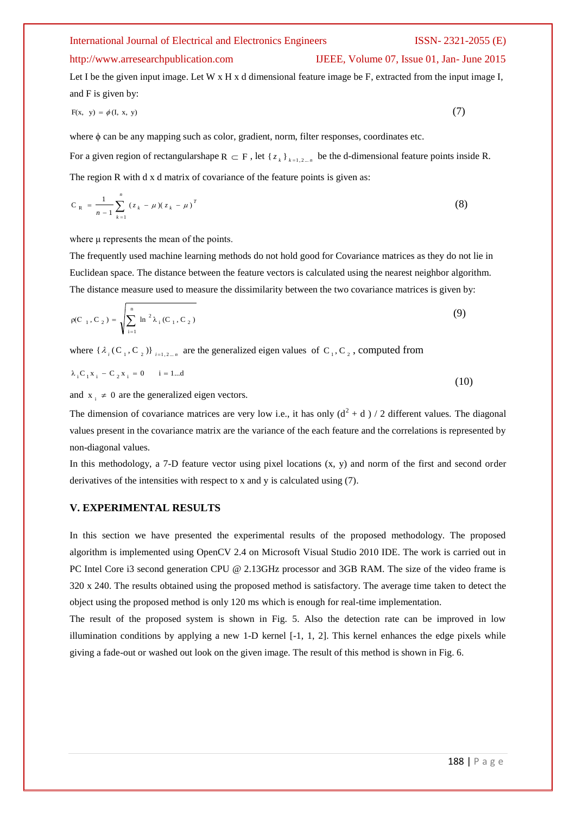#### http://www.arresearchpublication.com IJEEE, Volume 07, Issue 01, Jan- June 2015

Let I be the given input image. Let W x H x d dimensional feature image be F, extracted from the input image I, and F is given by:

$$
F(x, y) = \phi(I, x, y) \tag{7}
$$

where φ can be any mapping such as color, gradient, norm, filter responses, coordinates etc. For a given region of rectangularshape  $R \subset F$ , let  $\{z_k\}_{k=1,2,\ldots,n}$  be the d-dimensional feature points inside R. The region R with d x d matrix of covariance of the feature points is given as:

$$
C_R = \frac{1}{n-1} \sum_{k=1}^{n} (z_k - \mu)(z_k - \mu)^T
$$
 (8)

where μ represents the mean of the points.

The frequently used machine learning methods do not hold good for Covariance matrices as they do not lie in Euclidean space. The distance between the feature vectors is calculated using the nearest neighbor algorithm. The distance measure used to measure the dissimilarity between the two covariance matrices is given by:

$$
\rho(C_1, C_2) = \sqrt{\sum_{i=1}^n \ln^2 \lambda_i (C_1, C_2)}
$$
\n(9)

where  $\{\lambda_i(C_1, C_2)\}_{i=1,2,\dots,n}$  are the generalized eigen values of  $C_1, C_2$ , computed from

$$
\lambda_i C_1 x_i - C_2 x_i = 0 \qquad i = 1...d \tag{10}
$$

and  $x_i \neq 0$  are the generalized eigen vectors.

The dimension of covariance matrices are very low i.e., it has only  $(d^2 + d) / 2$  different values. The diagonal values present in the covariance matrix are the variance of the each feature and the correlations is represented by non-diagonal values.

In this methodology, a 7-D feature vector using pixel locations  $(x, y)$  and norm of the first and second order derivatives of the intensities with respect to x and y is calculated using (7).

### **V. EXPERIMENTAL RESULTS**

In this section we have presented the experimental results of the proposed methodology. The proposed algorithm is implemented using OpenCV 2.4 on Microsoft Visual Studio 2010 IDE. The work is carried out in PC Intel Core i3 second generation CPU @ 2.13GHz processor and 3GB RAM. The size of the video frame is 320 x 240. The results obtained using the proposed method is satisfactory. The average time taken to detect the object using the proposed method is only 120 ms which is enough for real-time implementation.

The result of the proposed system is shown in Fig. 5. Also the detection rate can be improved in low illumination conditions by applying a new 1-D kernel  $[-1, 1, 2]$ . This kernel enhances the edge pixels while giving a fade-out or washed out look on the given image. The result of this method is shown in Fig. 6.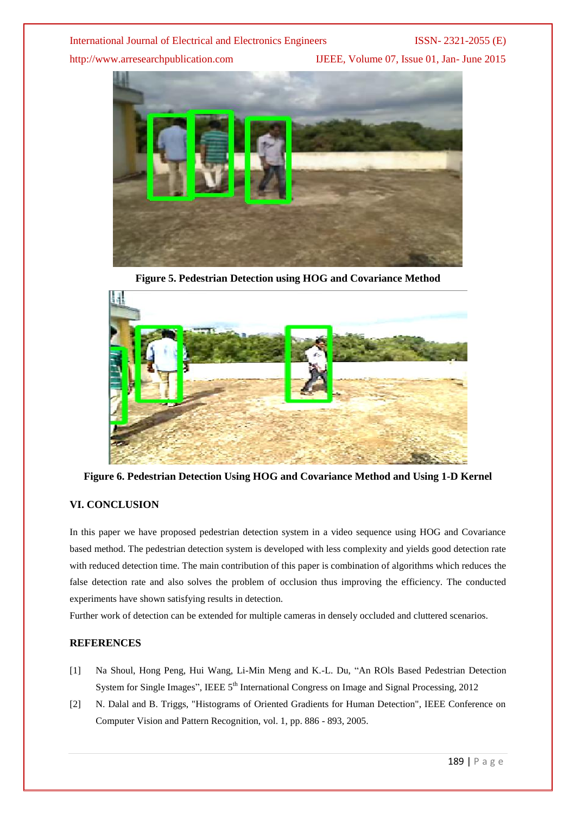http://www.arresearchpublication.com IJEEE, Volume 07, Issue 01, Jan- June 2015



**Figure 5. Pedestrian Detection using HOG and Covariance Method**



**Figure 6. Pedestrian Detection Using HOG and Covariance Method and Using 1-D Kernel**

### **VI. CONCLUSION**

In this paper we have proposed pedestrian detection system in a video sequence using HOG and Covariance based method. The pedestrian detection system is developed with less complexity and yields good detection rate with reduced detection time. The main contribution of this paper is combination of algorithms which reduces the false detection rate and also solves the problem of occlusion thus improving the efficiency. The conducted experiments have shown satisfying results in detection.

Further work of detection can be extended for multiple cameras in densely occluded and cluttered scenarios.

### **REFERENCES**

- [1] Na Shoul, Hong Peng, Hui Wang, Li-Min Meng and K.-L. Du, "An ROls Based Pedestrian Detection System for Single Images", IEEE 5<sup>th</sup> International Congress on Image and Signal Processing, 2012
- [2] N. Dalal and B. Triggs, "Histograms of Oriented Gradients for Human Detection", IEEE Conference on Computer Vision and Pattern Recognition, vol. 1, pp. 886 - 893, 2005.